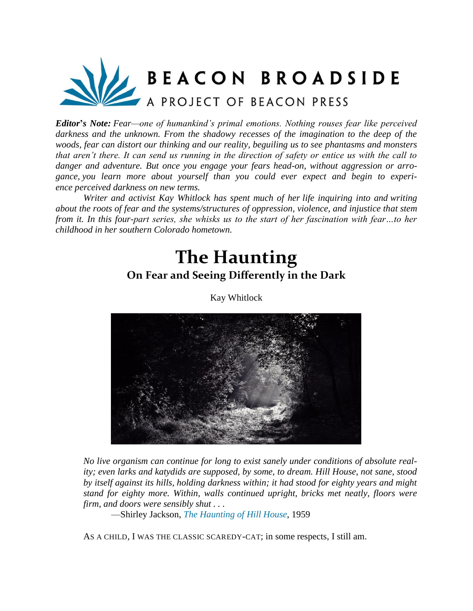

*Editor***'***s Note: Fear—one of humankind's primal emotions. Nothing rouses fear like perceived darkness and the unknown. From the shadowy recesses of the imagination to the deep of the woods, fear can distort our thinking and our reality, beguiling us to see phantasms and monsters that aren't there. It can send us running in the direction of safety or entice us with the call to danger and adventure. But once you engage your fears head-on, without aggression or arrogance, you learn more about yourself than you could ever expect and begin to experience perceived darkness on new terms.*

*Writer and activist Kay Whitlock has spent much of her life inquiring into and writing about the roots of fear and the systems/structures of oppression, violence, and injustice that stem from it. In this four-part series, she whisks us to the start of her fascination with fear…to her childhood in her southern Colorado hometown.*

## **The Haunting On Fear and Seeing Differently in the Dark**



Kay Whitlock

*No live organism can continue for long to exist sanely under conditions of absolute reality; even larks and katydids are supposed, by some, to dream. Hill House, not sane, stood by itself against its hills, holding darkness within; it had stood for eighty years and might stand for eighty more. Within, walls continued upright, bricks met neatly, floors were firm, and doors were sensibly shut . . .*

—Shirley Jackson, *[The Haunting of Hill House](https://www.loa.org/news-and-views/1208-terror-suspense-and-the-power-of-suggestion-in-_the-haunting_)*, 1959

AS A CHILD, I WAS THE CLASSIC SCAREDY-CAT; in some respects, I still am.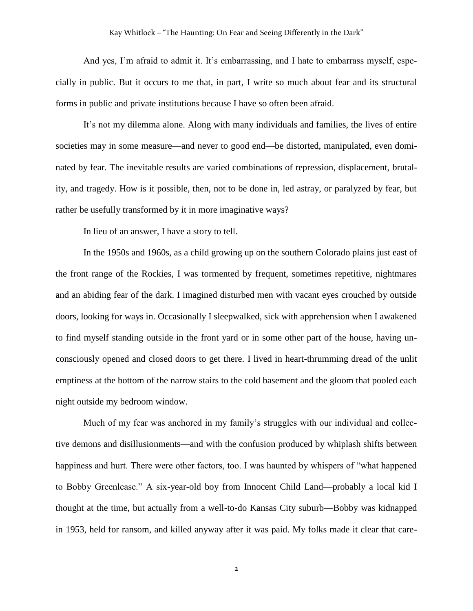And yes, I'm afraid to admit it. It's embarrassing, and I hate to embarrass myself, especially in public. But it occurs to me that, in part, I write so much about fear and its structural forms in public and private institutions because I have so often been afraid.

It's not my dilemma alone. Along with many individuals and families, the lives of entire societies may in some measure—and never to good end—be distorted, manipulated, even dominated by fear. The inevitable results are varied combinations of repression, displacement, brutality, and tragedy. How is it possible, then, not to be done in, led astray, or paralyzed by fear, but rather be usefully transformed by it in more imaginative ways?

In lieu of an answer, I have a story to tell.

In the 1950s and 1960s, as a child growing up on the southern Colorado plains just east of the front range of the Rockies, I was tormented by frequent, sometimes repetitive, nightmares and an abiding fear of the dark. I imagined disturbed men with vacant eyes crouched by outside doors, looking for ways in. Occasionally I sleepwalked, sick with apprehension when I awakened to find myself standing outside in the front yard or in some other part of the house, having unconsciously opened and closed doors to get there. I lived in heart-thrumming dread of the unlit emptiness at the bottom of the narrow stairs to the cold basement and the gloom that pooled each night outside my bedroom window.

Much of my fear was anchored in my family's struggles with our individual and collective demons and disillusionments—and with the confusion produced by whiplash shifts between happiness and hurt. There were other factors, too. I was haunted by whispers of "what happened to Bobby Greenlease." A six-year-old boy from Innocent Child Land—probably a local kid I thought at the time, but actually from a well-to-do Kansas City suburb—Bobby was kidnapped in 1953, held for ransom, and killed anyway after it was paid. My folks made it clear that care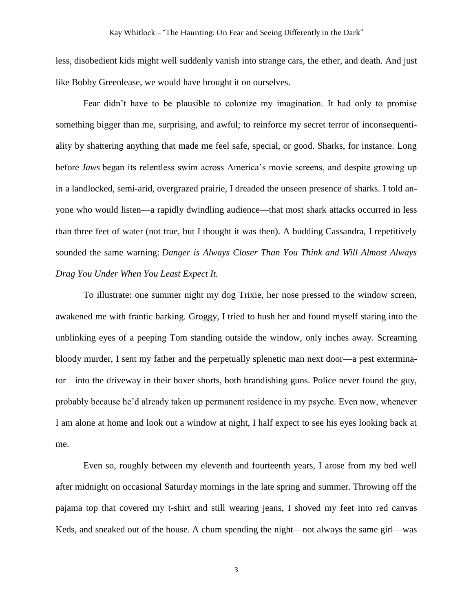less, disobedient kids might well suddenly vanish into strange cars, the ether, and death. And just like Bobby Greenlease, we would have brought it on ourselves.

Fear didn't have to be plausible to colonize my imagination. It had only to promise something bigger than me, surprising, and awful; to reinforce my secret terror of inconsequentiality by shattering anything that made me feel safe, special, or good. Sharks, for instance. Long before *Jaws* began its relentless swim across America's movie screens, and despite growing up in a landlocked, semi-arid, overgrazed prairie, I dreaded the unseen presence of sharks. I told anyone who would listen—a rapidly dwindling audience—that most shark attacks occurred in less than three feet of water (not true, but I thought it was then). A budding Cassandra, I repetitively sounded the same warning: *Danger is Always Closer Than You Think and Will Almost Always Drag You Under When You Least Expect It.*

To illustrate: one summer night my dog Trixie, her nose pressed to the window screen, awakened me with frantic barking. Groggy, I tried to hush her and found myself staring into the unblinking eyes of a peeping Tom standing outside the window, only inches away. Screaming bloody murder, I sent my father and the perpetually splenetic man next door—a pest exterminator—into the driveway in their boxer shorts, both brandishing guns. Police never found the guy, probably because he'd already taken up permanent residence in my psyche. Even now, whenever I am alone at home and look out a window at night, I half expect to see his eyes looking back at me.

Even so, roughly between my eleventh and fourteenth years, I arose from my bed well after midnight on occasional Saturday mornings in the late spring and summer. Throwing off the pajama top that covered my t-shirt and still wearing jeans, I shoved my feet into red canvas Keds, and sneaked out of the house. A chum spending the night—not always the same girl—was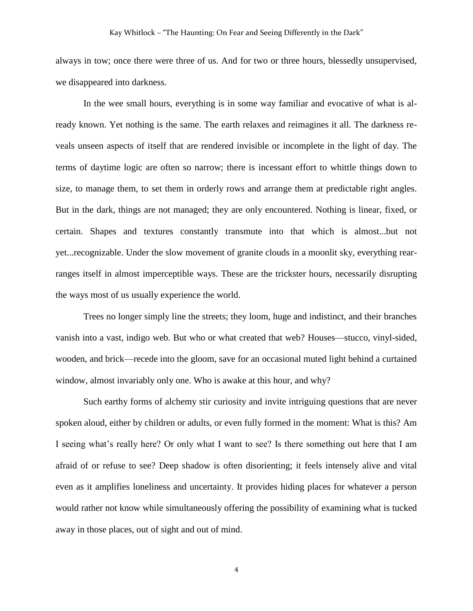always in tow; once there were three of us. And for two or three hours, blessedly unsupervised, we disappeared into darkness.

In the wee small hours, everything is in some way familiar and evocative of what is already known. Yet nothing is the same. The earth relaxes and reimagines it all. The darkness reveals unseen aspects of itself that are rendered invisible or incomplete in the light of day. The terms of daytime logic are often so narrow; there is incessant effort to whittle things down to size, to manage them, to set them in orderly rows and arrange them at predictable right angles. But in the dark, things are not managed; they are only encountered. Nothing is linear, fixed, or certain. Shapes and textures constantly transmute into that which is almost...but not yet...recognizable. Under the slow movement of granite clouds in a moonlit sky, everything rearranges itself in almost imperceptible ways. These are the trickster hours, necessarily disrupting the ways most of us usually experience the world.

Trees no longer simply line the streets; they loom, huge and indistinct, and their branches vanish into a vast, indigo web. But who or what created that web? Houses—stucco, vinyl-sided, wooden, and brick—recede into the gloom, save for an occasional muted light behind a curtained window, almost invariably only one. Who is awake at this hour, and why?

Such earthy forms of alchemy stir curiosity and invite intriguing questions that are never spoken aloud, either by children or adults, or even fully formed in the moment: What is this? Am I seeing what's really here? Or only what I want to see? Is there something out here that I am afraid of or refuse to see? Deep shadow is often disorienting; it feels intensely alive and vital even as it amplifies loneliness and uncertainty. It provides hiding places for whatever a person would rather not know while simultaneously offering the possibility of examining what is tucked away in those places, out of sight and out of mind.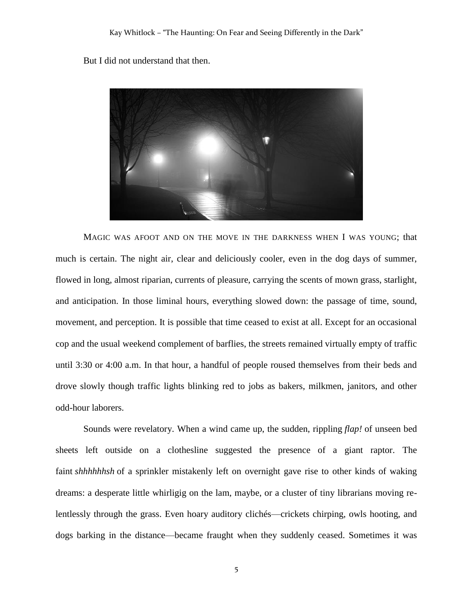But I did not understand that then.



MAGIC WAS AFOOT AND ON THE MOVE IN THE DARKNESS WHEN I WAS YOUNG; that much is certain. The night air, clear and deliciously cooler, even in the dog days of summer, flowed in long, almost riparian, currents of pleasure, carrying the scents of mown grass, starlight, and anticipation. In those liminal hours, everything slowed down: the passage of time, sound, movement, and perception. It is possible that time ceased to exist at all. Except for an occasional cop and the usual weekend complement of barflies, the streets remained virtually empty of traffic until 3:30 or 4:00 a.m. In that hour, a handful of people roused themselves from their beds and drove slowly though traffic lights blinking red to jobs as bakers, milkmen, janitors, and other odd-hour laborers.

Sounds were revelatory. When a wind came up, the sudden, rippling *flap!* of unseen bed sheets left outside on a clothesline suggested the presence of a giant raptor. The faint *shhhhhhsh* of a sprinkler mistakenly left on overnight gave rise to other kinds of waking dreams: a desperate little whirligig on the lam, maybe, or a cluster of tiny librarians moving relentlessly through the grass. Even hoary auditory clichés—crickets chirping, owls hooting, and dogs barking in the distance—became fraught when they suddenly ceased. Sometimes it was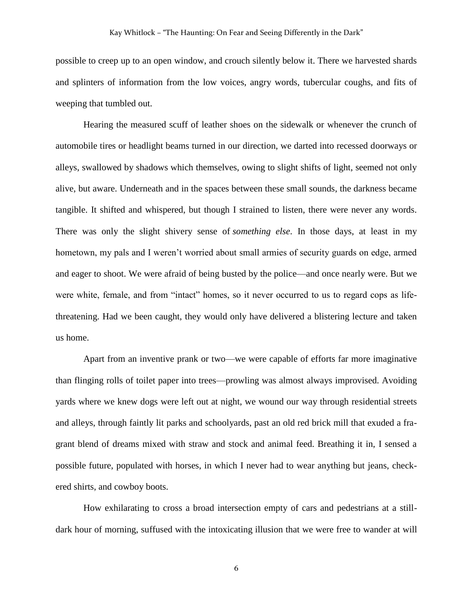possible to creep up to an open window, and crouch silently below it. There we harvested shards and splinters of information from the low voices, angry words, tubercular coughs, and fits of weeping that tumbled out.

Hearing the measured scuff of leather shoes on the sidewalk or whenever the crunch of automobile tires or headlight beams turned in our direction, we darted into recessed doorways or alleys, swallowed by shadows which themselves, owing to slight shifts of light, seemed not only alive, but aware. Underneath and in the spaces between these small sounds, the darkness became tangible. It shifted and whispered, but though I strained to listen, there were never any words. There was only the slight shivery sense of *something else*. In those days, at least in my hometown, my pals and I weren't worried about small armies of security guards on edge, armed and eager to shoot. We were afraid of being busted by the police—and once nearly were. But we were white, female, and from "intact" homes, so it never occurred to us to regard cops as lifethreatening. Had we been caught, they would only have delivered a blistering lecture and taken us home.

Apart from an inventive prank or two—we were capable of efforts far more imaginative than flinging rolls of toilet paper into trees—prowling was almost always improvised. Avoiding yards where we knew dogs were left out at night, we wound our way through residential streets and alleys, through faintly lit parks and schoolyards, past an old red brick mill that exuded a fragrant blend of dreams mixed with straw and stock and animal feed. Breathing it in, I sensed a possible future, populated with horses, in which I never had to wear anything but jeans, checkered shirts, and cowboy boots.

How exhilarating to cross a broad intersection empty of cars and pedestrians at a stilldark hour of morning, suffused with the intoxicating illusion that we were free to wander at will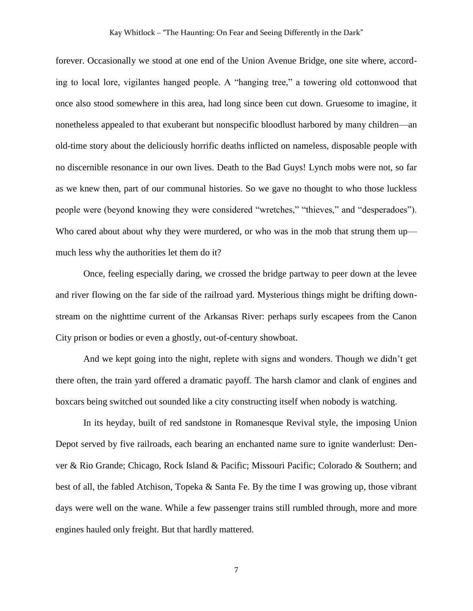forever. Occasionally we stood at one end of the Union Avenue Bridge, one site where, according to local lore, vigilantes hanged people. A "hanging tree," a towering old cottonwood that once also stood somewhere in this area, had long since been cut down. Gruesome to imagine, it nonetheless appealed to that exuberant but nonspecific bloodlust harbored by many children—an old-time story about the deliciously horrific deaths inflicted on nameless, disposable people with no discernible resonance in our own lives. Death to the Bad Guys! Lynch mobs were not, so far as we knew then, part of our communal histories. So we gave no thought to who those luckless people were (beyond knowing they were considered "wretches," "thieves," and "desperadoes"). Who cared about about why they were murdered, or who was in the mob that strung them up much less why the authorities let them do it?

Once, feeling especially daring, we crossed the bridge partway to peer down at the levee and river flowing on the far side of the railroad yard. Mysterious things might be drifting downstream on the nighttime current of the Arkansas River: perhaps surly escapees from the Canon City prison or bodies or even a ghostly, out-of-century showboat.

And we kept going into the night, replete with signs and wonders. Though we didn't get there often, the train yard offered a dramatic payoff. The harsh clamor and clank of engines and boxcars being switched out sounded like a city constructing itself when nobody is watching.

In its heyday, built of red sandstone in Romanesque Revival style, the imposing Union Depot served by five railroads, each bearing an enchanted name sure to ignite wanderlust: Denver & Rio Grande; Chicago, Rock Island & Pacific; Missouri Pacific; Colorado & Southern; and best of all, the fabled Atchison, Topeka & Santa Fe. By the time I was growing up, those vibrant days were well on the wane. While a few passenger trains still rumbled through, more and more engines hauled only freight. But that hardly mattered.

7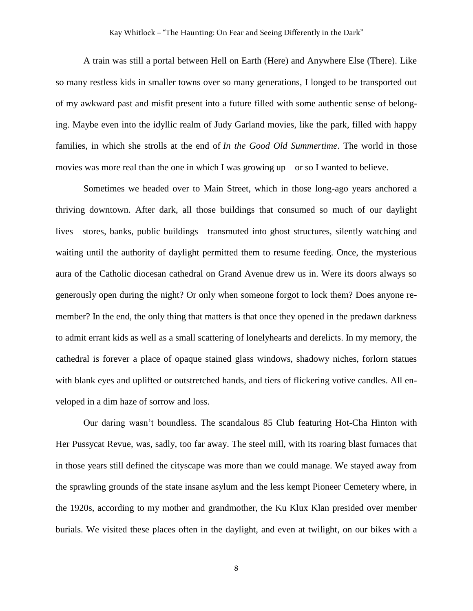A train was still a portal between Hell on Earth (Here) and Anywhere Else (There). Like so many restless kids in smaller towns over so many generations, I longed to be transported out of my awkward past and misfit present into a future filled with some authentic sense of belonging. Maybe even into the idyllic realm of Judy Garland movies, like the park, filled with happy families, in which she strolls at the end of *In the Good Old Summertime*. The world in those movies was more real than the one in which I was growing up—or so I wanted to believe.

Sometimes we headed over to Main Street, which in those long-ago years anchored a thriving downtown. After dark, all those buildings that consumed so much of our daylight lives—stores, banks, public buildings—transmuted into ghost structures, silently watching and waiting until the authority of daylight permitted them to resume feeding. Once, the mysterious aura of the Catholic diocesan cathedral on Grand Avenue drew us in. Were its doors always so generously open during the night? Or only when someone forgot to lock them? Does anyone remember? In the end, the only thing that matters is that once they opened in the predawn darkness to admit errant kids as well as a small scattering of lonelyhearts and derelicts. In my memory, the cathedral is forever a place of opaque stained glass windows, shadowy niches, forlorn statues with blank eyes and uplifted or outstretched hands, and tiers of flickering votive candles. All enveloped in a dim haze of sorrow and loss.

Our daring wasn't boundless. The scandalous 85 Club featuring Hot-Cha Hinton with Her Pussycat Revue, was, sadly, too far away. The steel mill, with its roaring blast furnaces that in those years still defined the cityscape was more than we could manage. We stayed away from the sprawling grounds of the state insane asylum and the less kempt Pioneer Cemetery where, in the 1920s, according to my mother and grandmother, the Ku Klux Klan presided over member burials. We visited these places often in the daylight, and even at twilight, on our bikes with a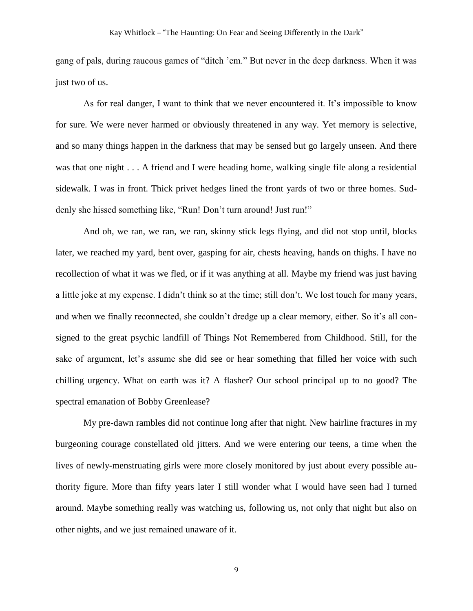gang of pals, during raucous games of "ditch 'em." But never in the deep darkness. When it was just two of us.

As for real danger, I want to think that we never encountered it. It's impossible to know for sure. We were never harmed or obviously threatened in any way. Yet memory is selective, and so many things happen in the darkness that may be sensed but go largely unseen. And there was that one night . . . A friend and I were heading home, walking single file along a residential sidewalk. I was in front. Thick privet hedges lined the front yards of two or three homes. Suddenly she hissed something like, "Run! Don't turn around! Just run!"

And oh, we ran, we ran, we ran, skinny stick legs flying, and did not stop until, blocks later, we reached my yard, bent over, gasping for air, chests heaving, hands on thighs. I have no recollection of what it was we fled, or if it was anything at all. Maybe my friend was just having a little joke at my expense. I didn't think so at the time; still don't. We lost touch for many years, and when we finally reconnected, she couldn't dredge up a clear memory, either. So it's all consigned to the great psychic landfill of Things Not Remembered from Childhood. Still, for the sake of argument, let's assume she did see or hear something that filled her voice with such chilling urgency. What on earth was it? A flasher? Our school principal up to no good? The spectral emanation of Bobby Greenlease?

My pre-dawn rambles did not continue long after that night. New hairline fractures in my burgeoning courage constellated old jitters. And we were entering our teens, a time when the lives of newly-menstruating girls were more closely monitored by just about every possible authority figure. More than fifty years later I still wonder what I would have seen had I turned around. Maybe something really was watching us, following us, not only that night but also on other nights, and we just remained unaware of it.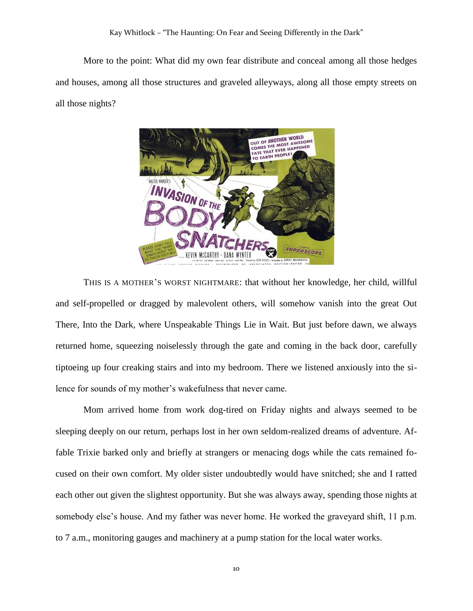More to the point: What did my own fear distribute and conceal among all those hedges and houses, among all those structures and graveled alleyways, along all those empty streets on all those nights?



THIS IS A MOTHER'S WORST NIGHTMARE: that without her knowledge, her child, willful and self-propelled or dragged by malevolent others, will somehow vanish into the great Out There, Into the Dark, where Unspeakable Things Lie in Wait. But just before dawn, we always returned home, squeezing noiselessly through the gate and coming in the back door, carefully tiptoeing up four creaking stairs and into my bedroom. There we listened anxiously into the silence for sounds of my mother's wakefulness that never came.

Mom arrived home from work dog-tired on Friday nights and always seemed to be sleeping deeply on our return, perhaps lost in her own seldom-realized dreams of adventure. Affable Trixie barked only and briefly at strangers or menacing dogs while the cats remained focused on their own comfort. My older sister undoubtedly would have snitched; she and I ratted each other out given the slightest opportunity. But she was always away, spending those nights at somebody else's house. And my father was never home. He worked the graveyard shift, 11 p.m. to 7 a.m., monitoring gauges and machinery at a pump station for the local water works.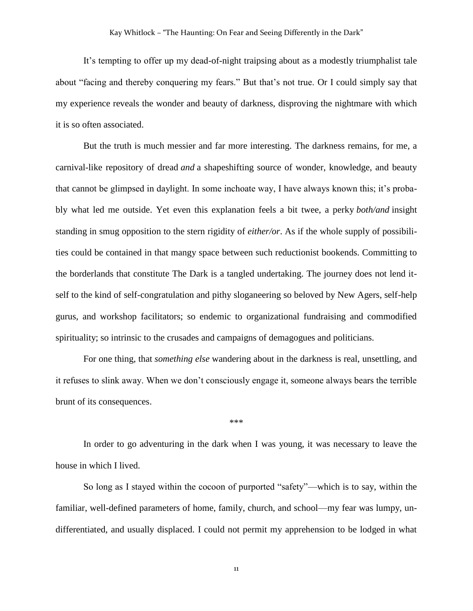It's tempting to offer up my dead-of-night traipsing about as a modestly triumphalist tale about "facing and thereby conquering my fears." But that's not true. Or I could simply say that my experience reveals the wonder and beauty of darkness, disproving the nightmare with which it is so often associated.

But the truth is much messier and far more interesting. The darkness remains, for me, a carnival-like repository of dread *and* a shapeshifting source of wonder, knowledge, and beauty that cannot be glimpsed in daylight. In some inchoate way, I have always known this; it's probably what led me outside. Yet even this explanation feels a bit twee, a perky *both/and* insight standing in smug opposition to the stern rigidity of *either/or*. As if the whole supply of possibilities could be contained in that mangy space between such reductionist bookends. Committing to the borderlands that constitute The Dark is a tangled undertaking. The journey does not lend itself to the kind of self-congratulation and pithy sloganeering so beloved by New Agers, self-help gurus, and workshop facilitators; so endemic to organizational fundraising and commodified spirituality; so intrinsic to the crusades and campaigns of demagogues and politicians.

For one thing, that *something else* wandering about in the darkness is real, unsettling, and it refuses to slink away. When we don't consciously engage it, someone always bears the terrible brunt of its consequences.

\*\*\*

In order to go adventuring in the dark when I was young, it was necessary to leave the house in which I lived.

So long as I stayed within the cocoon of purported "safety"—which is to say, within the familiar, well-defined parameters of home, family, church, and school—my fear was lumpy, undifferentiated, and usually displaced. I could not permit my apprehension to be lodged in what

11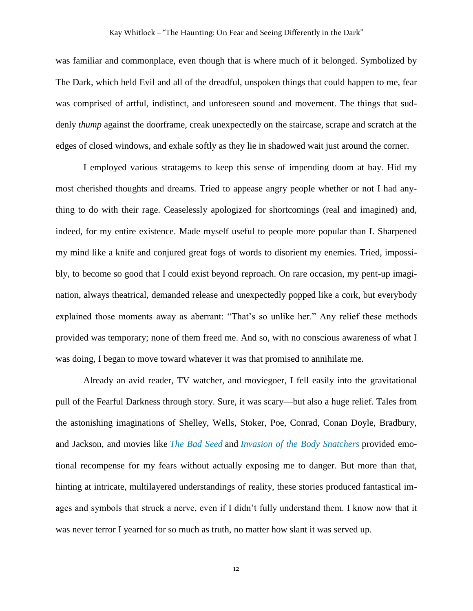was familiar and commonplace, even though that is where much of it belonged. Symbolized by The Dark, which held Evil and all of the dreadful, unspoken things that could happen to me, fear was comprised of artful, indistinct, and unforeseen sound and movement. The things that suddenly *thump* against the doorframe, creak unexpectedly on the staircase, scrape and scratch at the edges of closed windows, and exhale softly as they lie in shadowed wait just around the corner.

I employed various stratagems to keep this sense of impending doom at bay. Hid my most cherished thoughts and dreams. Tried to appease angry people whether or not I had anything to do with their rage. Ceaselessly apologized for shortcomings (real and imagined) and, indeed, for my entire existence. Made myself useful to people more popular than I. Sharpened my mind like a knife and conjured great fogs of words to disorient my enemies. Tried, impossibly, to become so good that I could exist beyond reproach. On rare occasion, my pent-up imagination, always theatrical, demanded release and unexpectedly popped like a cork, but everybody explained those moments away as aberrant: "That's so unlike her." Any relief these methods provided was temporary; none of them freed me. And so, with no conscious awareness of what I was doing, I began to move toward whatever it was that promised to annihilate me.

Already an avid reader, TV watcher, and moviegoer, I fell easily into the gravitational pull of the Fearful Darkness through story. Sure, it was scary—but also a huge relief. Tales from the astonishing imaginations of Shelley, Wells, Stoker, Poe, Conrad, Conan Doyle, Bradbury, and Jackson, and movies like *[The Bad Seed](http://horrorfreaknews.com/bad-seed-1956-review)* and *[Invasion of the Body Snatchers](http://www.filmsite.org/inva.html)* provided emotional recompense for my fears without actually exposing me to danger. But more than that, hinting at intricate, multilayered understandings of reality, these stories produced fantastical images and symbols that struck a nerve, even if I didn't fully understand them. I know now that it was never terror I yearned for so much as truth, no matter how slant it was served up.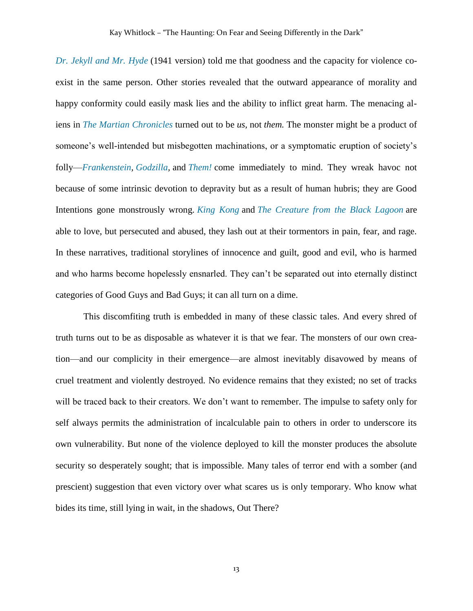*[Dr. Jekyll and Mr. Hyde](http://www.tcm.com/this-month/article/220524%7C220528/Behind-the-Camera-Dr-Jekyll-and-Mr-Hyde.html)* (1941 version) told me that goodness and the capacity for violence coexist in the same person. Other stories revealed that the outward appearance of morality and happy conformity could easily mask lies and the ability to inflict great harm. The menacing aliens in *[The Martian Chronicles](https://subterraneanpress.com/store/product_detail/the_martian_chronicles_the_complete_edition)* turned out to be *us,* not *them.* The monster might be a product of someone's well-intended but misbegotten machinations, or a symptomatic eruption of society's folly—*[Frankenstein,](http://www.filmsite.org/fran.html) [Godzilla,](https://medium.com/@bombshelltoe/gojira-vs-godzilla-two-nuclear-narratives-in-one-monster-443a7803219a#.wnltf1urc)* and *[Them!](http://www.tcm.com/tcmdb/title/16456/Them-/articles.html)* come immediately to mind. They wreak havoc not because of some intrinsic devotion to depravity but as a result of human hubris; they are Good Intentions gone monstrously wrong. *[King Kong](http://www.rogerebert.com/reviews/great-movie-king-kong-1933)* and *[The Creature from the Black Lagoon](http://classic-horror.com/reviews/creature_from_the_black_lagoon_1954)* are able to love, but persecuted and abused, they lash out at their tormentors in pain, fear, and rage. In these narratives, traditional storylines of innocence and guilt, good and evil, who is harmed and who harms become hopelessly ensnarled. They can't be separated out into eternally distinct categories of Good Guys and Bad Guys; it can all turn on a dime.

This discomfiting truth is embedded in many of these classic tales. And every shred of truth turns out to be as disposable as whatever it is that we fear. The monsters of our own creation—and our complicity in their emergence—are almost inevitably disavowed by means of cruel treatment and violently destroyed. No evidence remains that they existed; no set of tracks will be traced back to their creators. We don't want to remember. The impulse to safety only for self always permits the administration of incalculable pain to others in order to underscore its own vulnerability. But none of the violence deployed to kill the monster produces the absolute security so desperately sought; that is impossible. Many tales of terror end with a somber (and prescient) suggestion that even victory over what scares us is only temporary. Who know what bides its time, still lying in wait, in the shadows, Out There?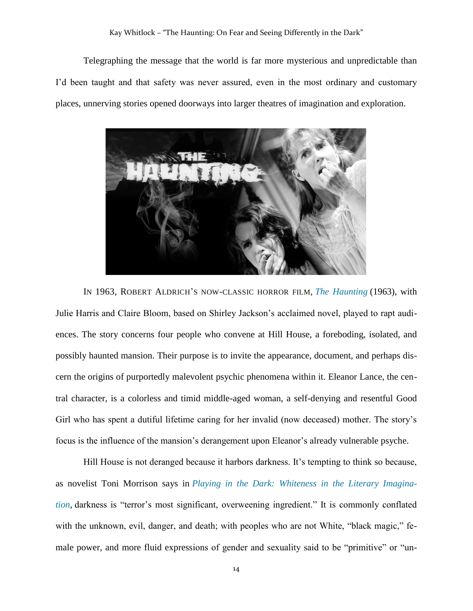## Kay Whitlock – "The Haunting: On Fear and Seeing Differently in the Dark"

Telegraphing the message that the world is far more mysterious and unpredictable than I'd been taught and that safety was never assured, even in the most ordinary and customary places, unnerving stories opened doorways into larger theatres of imagination and exploration.



IN 1963, ROBERT ALDRICH'S NOW-CLASSIC HORROR FILM, *[The Haunting](http://www.imdb.com/title/tt0057129/)* (1963), with Julie Harris and Claire Bloom, based on Shirley Jackson's acclaimed novel, played to rapt audiences. The story concerns four people who convene at Hill House, a foreboding, isolated, and possibly haunted mansion. Their purpose is to invite the appearance, document, and perhaps discern the origins of purportedly malevolent psychic phenomena within it. Eleanor Lance, the central character, is a colorless and timid middle-aged woman, a self-denying and resentful Good Girl who has spent a dutiful lifetime caring for her invalid (now deceased) mother. The story's focus is the influence of the mansion's derangement upon Eleanor's already vulnerable psyche.

Hill House is not deranged because it harbors darkness. It's tempting to think so because, as novelist Toni Morrison says in *Playing in the Dark: [Whiteness in the Literary Imagina](http://www.hup.harvard.edu/catalog.php?isbn=9780674673779)[tion,](http://www.hup.harvard.edu/catalog.php?isbn=9780674673779)* darkness is "terror's most significant, overweening ingredient." It is commonly conflated with the unknown, evil, danger, and death; with peoples who are not White, "black magic," female power, and more fluid expressions of gender and sexuality said to be "primitive" or "un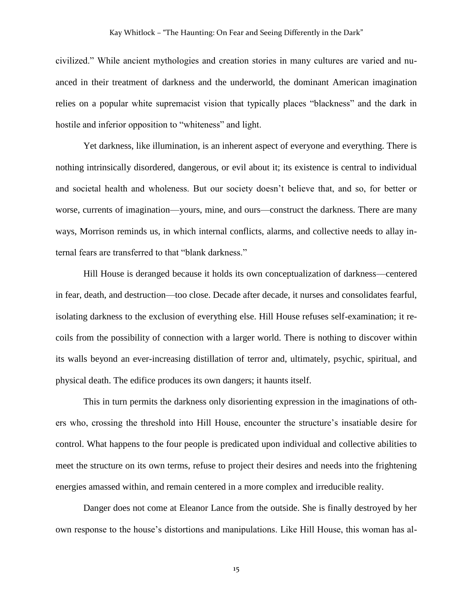civilized." While ancient mythologies and creation stories in many cultures are varied and nuanced in their treatment of darkness and the underworld, the dominant American imagination relies on a popular white supremacist vision that typically places "blackness" and the dark in hostile and inferior opposition to "whiteness" and light.

Yet darkness, like illumination, is an inherent aspect of everyone and everything. There is nothing intrinsically disordered, dangerous, or evil about it; its existence is central to individual and societal health and wholeness. But our society doesn't believe that, and so, for better or worse, currents of imagination—yours, mine, and ours—construct the darkness. There are many ways, Morrison reminds us, in which internal conflicts, alarms, and collective needs to allay internal fears are transferred to that "blank darkness."

Hill House is deranged because it holds its own conceptualization of darkness—centered in fear, death, and destruction—too close. Decade after decade, it nurses and consolidates fearful, isolating darkness to the exclusion of everything else. Hill House refuses self-examination; it recoils from the possibility of connection with a larger world. There is nothing to discover within its walls beyond an ever-increasing distillation of terror and, ultimately, psychic, spiritual, and physical death. The edifice produces its own dangers; it haunts itself.

This in turn permits the darkness only disorienting expression in the imaginations of others who, crossing the threshold into Hill House, encounter the structure's insatiable desire for control. What happens to the four people is predicated upon individual and collective abilities to meet the structure on its own terms, refuse to project their desires and needs into the frightening energies amassed within, and remain centered in a more complex and irreducible reality.

Danger does not come at Eleanor Lance from the outside. She is finally destroyed by her own response to the house's distortions and manipulations. Like Hill House, this woman has al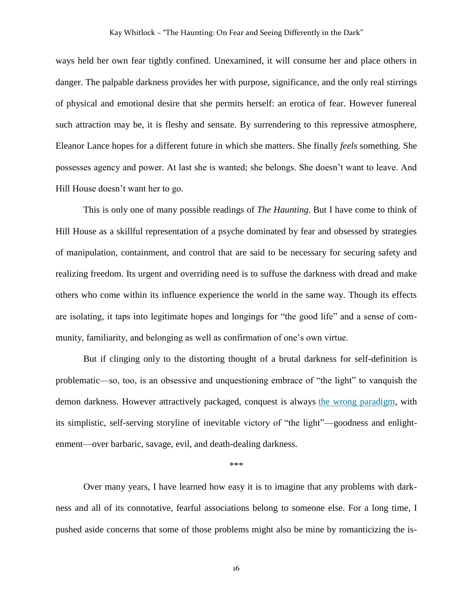ways held her own fear tightly confined. Unexamined, it will consume her and place others in danger. The palpable darkness provides her with purpose, significance, and the only real stirrings of physical and emotional desire that she permits herself: an erotica of fear. However funereal such attraction may be, it is fleshy and sensate. By surrendering to this repressive atmosphere, Eleanor Lance hopes for a different future in which she matters. She finally *feels* something. She possesses agency and power. At last she is wanted; she belongs. She doesn't want to leave. And Hill House doesn't want her to go.

This is only one of many possible readings of *The Haunting.* But I have come to think of Hill House as a skillful representation of a psyche dominated by fear and obsessed by strategies of manipulation, containment, and control that are said to be necessary for securing safety and realizing freedom. Its urgent and overriding need is to suffuse the darkness with dread and make others who come within its influence experience the world in the same way. Though its effects are isolating, it taps into legitimate hopes and longings for "the good life" and a sense of community, familiarity, and belonging as well as confirmation of one's own virtue.

But if clinging only to the distorting thought of a brutal darkness for self-definition is problematic—so, too, is an obsessive and unquestioning embrace of "the light" to vanquish the demon darkness. However attractively packaged, conquest is always [the wrong paradigm,](http://www.beacon.org/An-Indigenous-Peoples-History-of-the-United-States-P1164.aspx) with its simplistic, self-serving storyline of inevitable victory of "the light"—goodness and enlightenment—over barbaric, savage, evil, and death-dealing darkness.

\*\*\*

Over many years, I have learned how easy it is to imagine that any problems with darkness and all of its connotative, fearful associations belong to someone else. For a long time, I pushed aside concerns that some of those problems might also be mine by romanticizing the is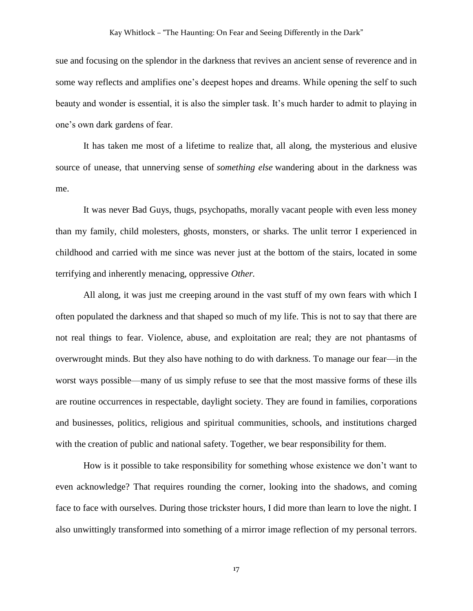sue and focusing on the splendor in the darkness that revives an ancient sense of reverence and in some way reflects and amplifies one's deepest hopes and dreams. While opening the self to such beauty and wonder is essential, it is also the simpler task. It's much harder to admit to playing in one's own dark gardens of fear.

It has taken me most of a lifetime to realize that, all along, the mysterious and elusive source of unease, that unnerving sense of *something else* wandering about in the darkness was me.

It was never Bad Guys, thugs, psychopaths, morally vacant people with even less money than my family, child molesters, ghosts, monsters, or sharks. The unlit terror I experienced in childhood and carried with me since was never just at the bottom of the stairs, located in some terrifying and inherently menacing, oppressive *Other.*

All along, it was just me creeping around in the vast stuff of my own fears with which I often populated the darkness and that shaped so much of my life. This is not to say that there are not real things to fear. Violence, abuse, and exploitation are real; they are not phantasms of overwrought minds. But they also have nothing to do with darkness. To manage our fear—in the worst ways possible—many of us simply refuse to see that the most massive forms of these ills are routine occurrences in respectable, daylight society. They are found in families, corporations and businesses, politics, religious and spiritual communities, schools, and institutions charged with the creation of public and national safety. Together, we bear responsibility for them.

How is it possible to take responsibility for something whose existence we don't want to even acknowledge? That requires rounding the corner, looking into the shadows, and coming face to face with ourselves. During those trickster hours, I did more than learn to love the night. I also unwittingly transformed into something of a mirror image reflection of my personal terrors.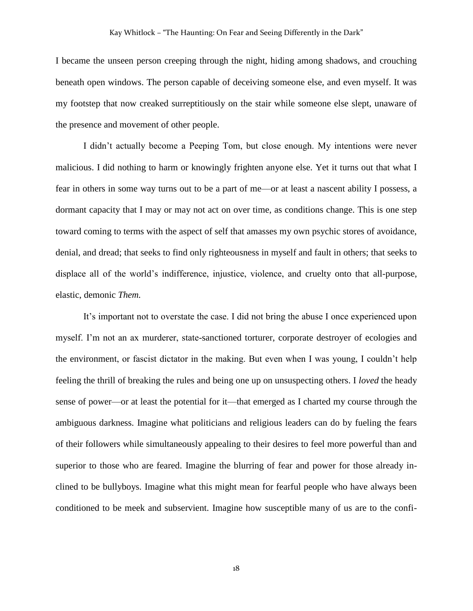I became the unseen person creeping through the night, hiding among shadows, and crouching beneath open windows. The person capable of deceiving someone else, and even myself. It was my footstep that now creaked surreptitiously on the stair while someone else slept, unaware of the presence and movement of other people.

I didn't actually become a Peeping Tom, but close enough. My intentions were never malicious. I did nothing to harm or knowingly frighten anyone else. Yet it turns out that what I fear in others in some way turns out to be a part of me—or at least a nascent ability I possess, a dormant capacity that I may or may not act on over time, as conditions change. This is one step toward coming to terms with the aspect of self that amasses my own psychic stores of avoidance, denial, and dread; that seeks to find only righteousness in myself and fault in others; that seeks to displace all of the world's indifference, injustice, violence, and cruelty onto that all-purpose, elastic, demonic *Them.*

It's important not to overstate the case. I did not bring the abuse I once experienced upon myself. I'm not an ax murderer, state-sanctioned torturer, corporate destroyer of ecologies and the environment, or fascist dictator in the making. But even when I was young, I couldn't help feeling the thrill of breaking the rules and being one up on unsuspecting others. I *loved* the heady sense of power—or at least the potential for it—that emerged as I charted my course through the ambiguous darkness. Imagine what politicians and religious leaders can do by fueling the fears of their followers while simultaneously appealing to their desires to feel more powerful than and superior to those who are feared. Imagine the blurring of fear and power for those already inclined to be bullyboys. Imagine what this might mean for fearful people who have always been conditioned to be meek and subservient. Imagine how susceptible many of us are to the confi